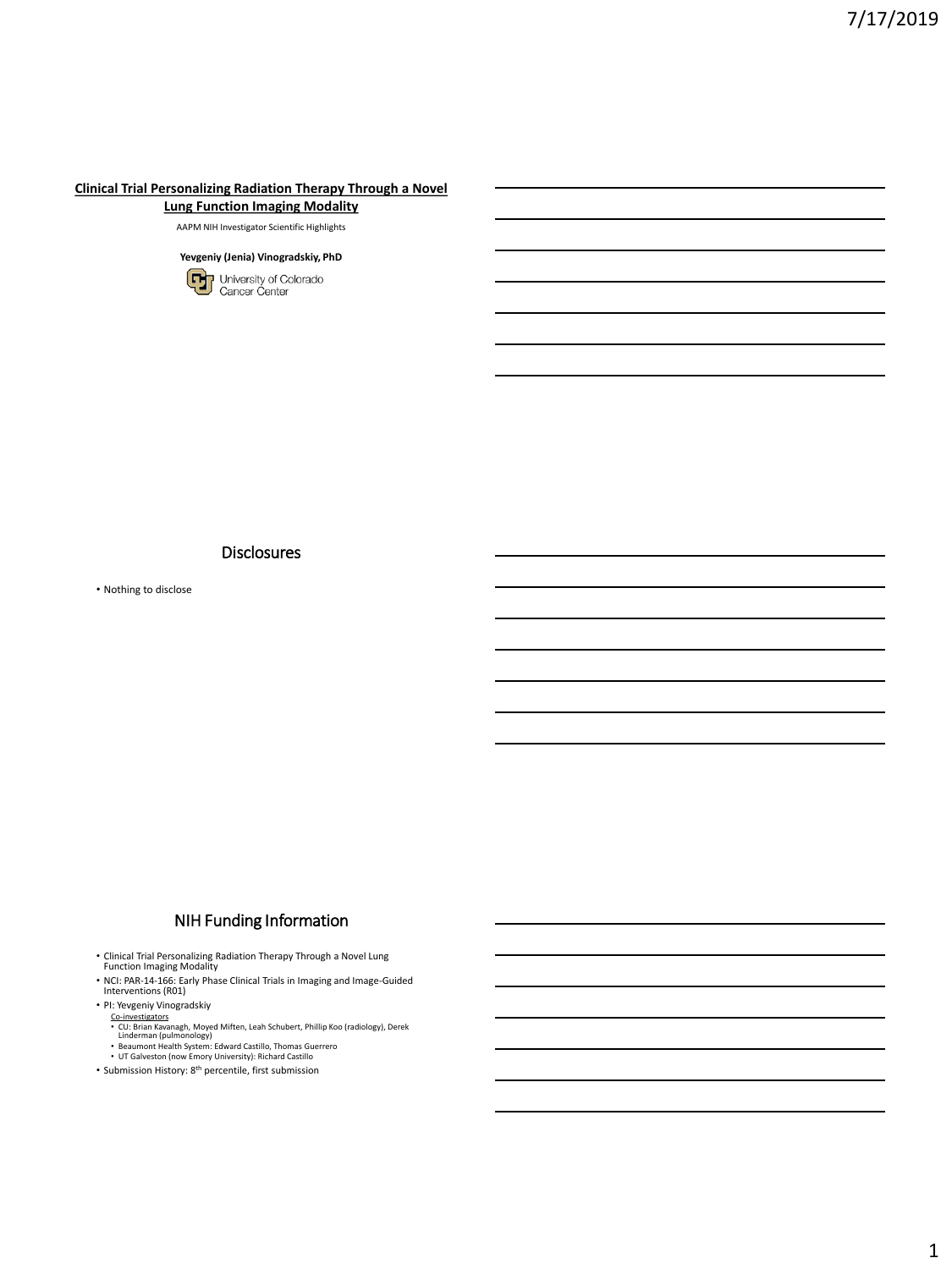#### **Clinical Trial Personalizing Radiation Therapy Through a Novel Lung Function Imaging Modality**

AAPM NIH Investigator Scientific Highlights



**Disclosures** 

• Nothing to disclose

## NIH Funding Information

• Clinical Trial Personalizing Radiation Therapy Through a Novel Lung Function Imaging Modality

- NCI: PAR-14-166: Early Phase Clinical Trials in Imaging and Image-Guided Interventions (R01)
- PI: Yevgeniy Vinogradskiy
	-
	- C<u>o-investigators</u><br>• CU: Brian Kavanagh, Moyed Miften, Leah Schubert, Phillip Koo (radiology), Derek<br>• Linderman (pulmonology)<br>• DT Galveston (now Emory University): Richard Castillo<br>• UT Galveston (now Emory University):
	-
- 
- Submission History: 8th percentile, first submission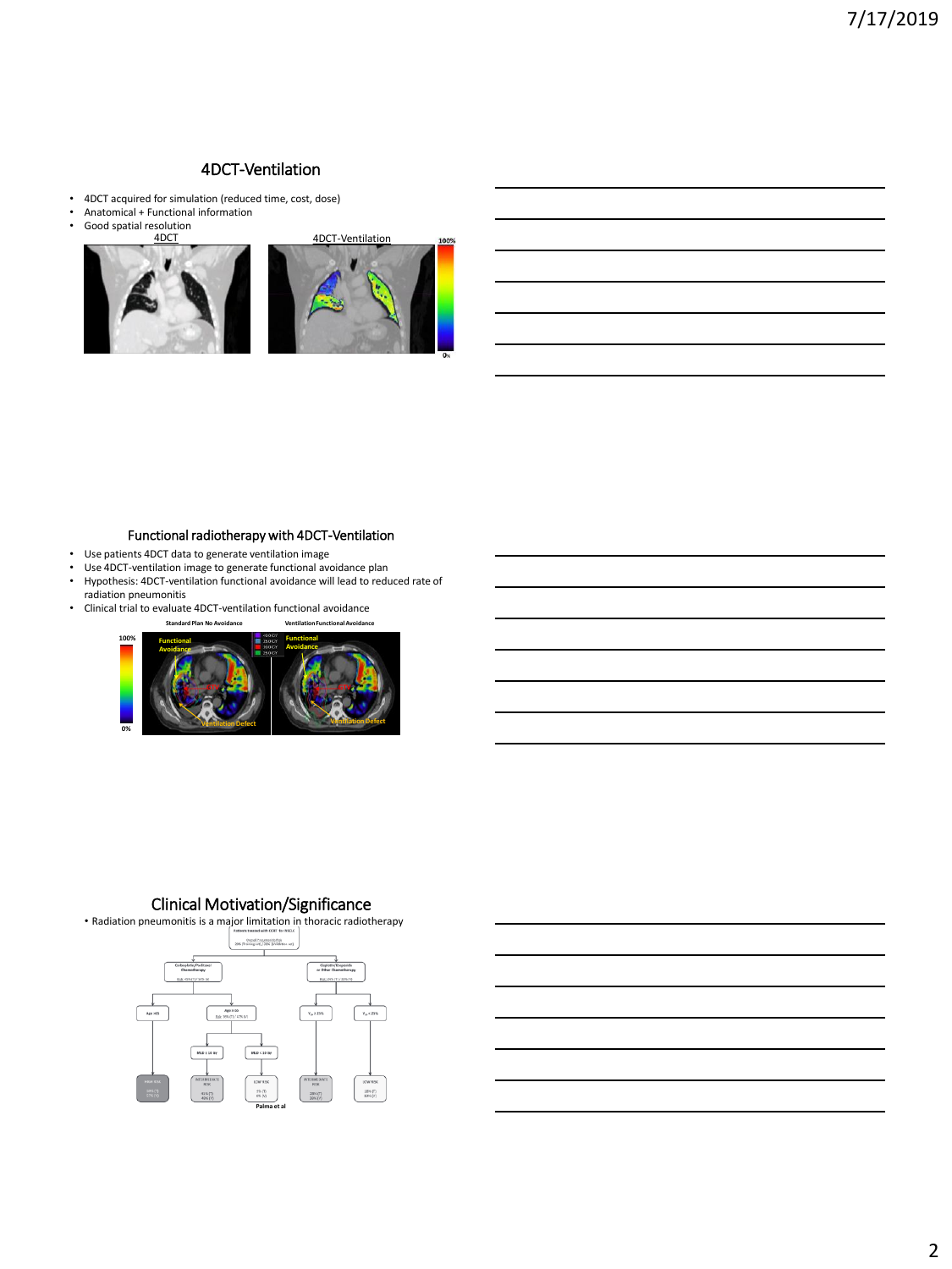### 4DCT-Ventilation

- 4DCT acquired for simulation (reduced time, cost, dose)
- Anatomical + Functional information<br>• Good spatial resolution
- Good spatial resolution



#### Functional radiotherapy with 4DCT-Ventilation

- Use patients 4DCT data to generate ventilation image<br>• Use 4DCT-ventilation image to generate functional ave
- Use 4DCT-ventilation image to generate functional avoidance plan
- Hypothesis: 4DCT-ventilation functional avoidance will lead to reduced rate of radiation pneumonitis
- Clinical trial to evaluate 4DCT-ventilation functional avoidance



# Clinical Motivation/Significance

• Radiation pneumonitis is a major limitation in thoracic radiotherapy **Charal Photographs Pick**<br>2006 (Training set) / 32% (Validation set)  $v_m < 25\%$  $\rm v_{\rm m}$  z 25% 18% (T)<br>19% (V) **Palma et al**

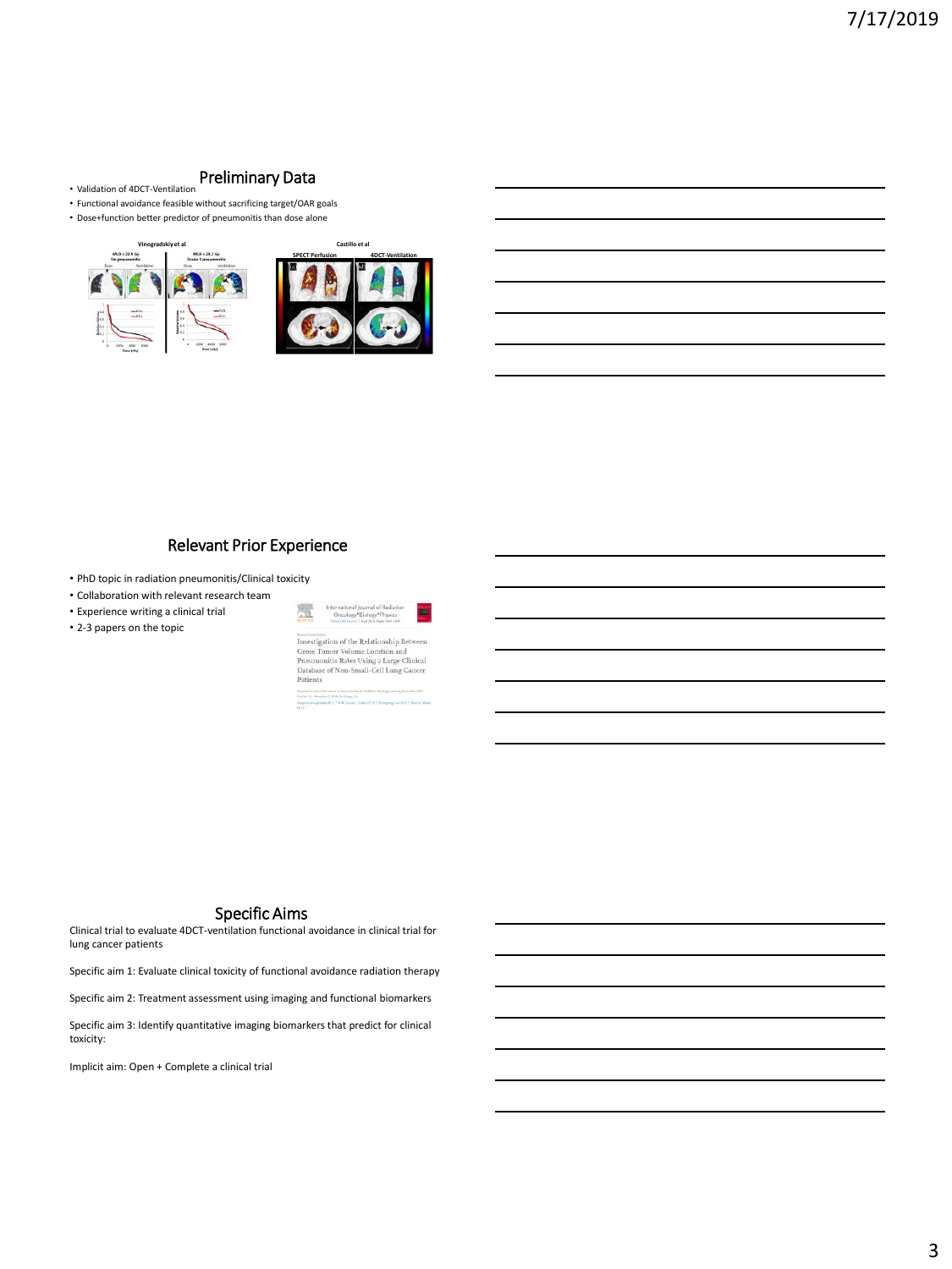#### Preliminary Data

- Validation of 4DCT-Ventilation
- Functional avoidance feasible without sacrificing target/OAR goals • Dose+function better predictor of pneumonitis than dose alone
- 



# Relevant Prior Experience

- PhD topic in radiation pneumonitis/Clinical toxicity
- Collaboration with relevant research team
- Experience writing a clinical trial • 2-3 papers on the topic

| <b>SANTENT</b>     | International Journal of Radiation<br>Oncology*Biology*Physics<br>Indurantil Jour J. Literal 2012, Pages 1653-1658 |
|--------------------|--------------------------------------------------------------------------------------------------------------------|
| Busine Grandischer |                                                                                                                    |
|                    | Investigation of the Relationship Between                                                                          |
|                    | Gross Tumor Volume Location and                                                                                    |
|                    | Pneumonitis Rates Using a Large Clinical                                                                           |
|                    | Database of Non-Small-Cell Lung Cancer                                                                             |
| Patients           |                                                                                                                    |
|                    |                                                                                                                    |

#### Specific Aims

Clinical trial to evaluate 4DCT-ventilation functional avoidance in clinical trial for lung cancer patients

Specific aim 1: Evaluate clinical toxicity of functional avoidance radiation therapy

Specific aim 2: Treatment assessment using imaging and functional biomarkers

Specific aim 3: Identify quantitative imaging biomarkers that predict for clinical toxicity:

Implicit aim: Open + Complete a clinical trial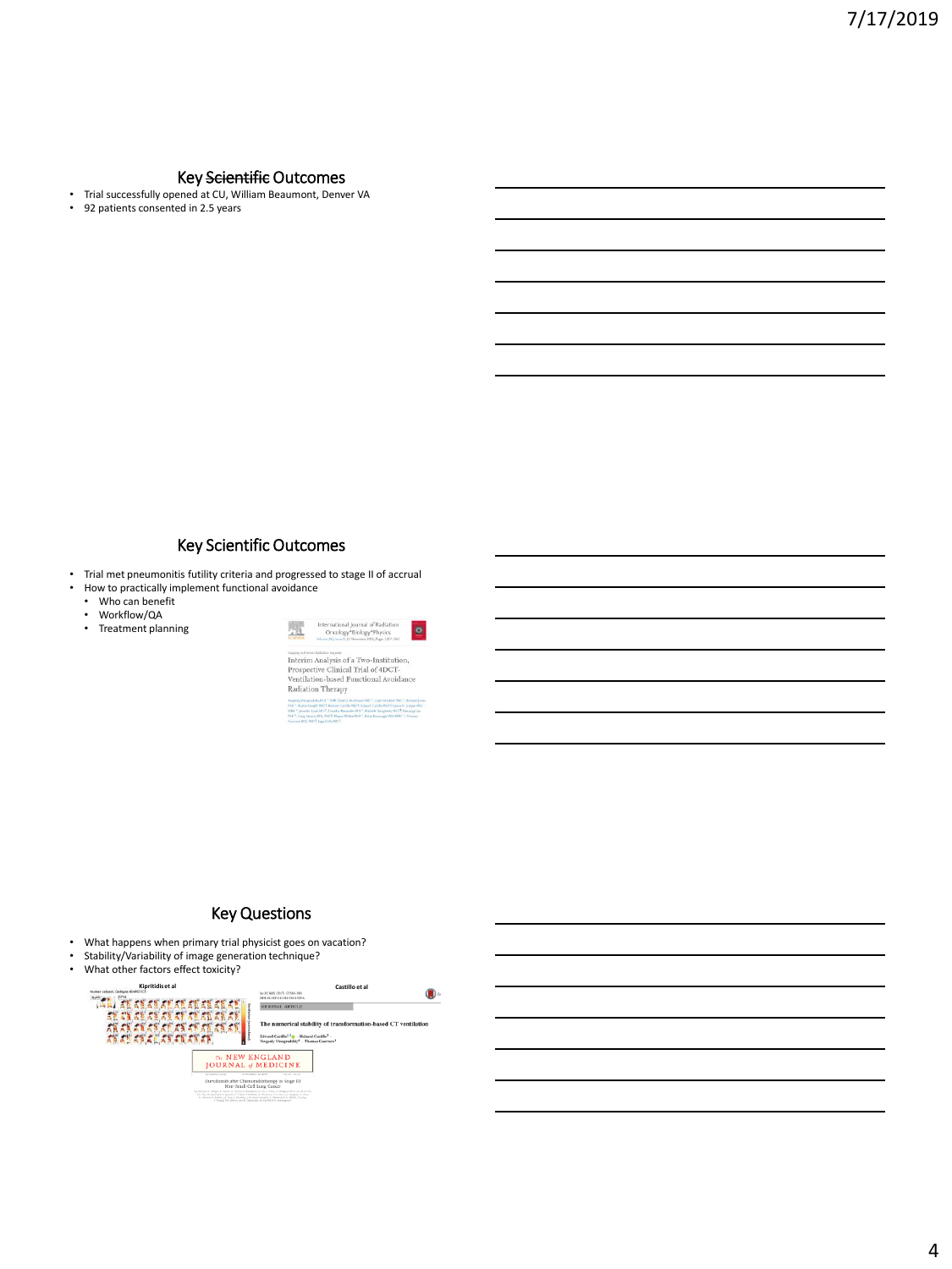#### Key Scientific Outcomes

- Trial successfully opened at CU, William Beaumont, Denver VA<br>• 92 patients consented in 2.5 vears
- 92 patients consented in 2.5 years

# Key Scientific Outcomes

- Trial met pneumonitis futility criteria and progressed to stage II of accrual<br>• How to practically implement functional avoidance
	- How to practically implement functional avoidance
	- Who can benefit<br>• Workflow/QA • Workflow/QA
	-
	- Treatment planning



wanner and analysis of a Two-Institution,<br>Prospective Clinical Trial of 4DCT-Ventilation-based Functional Avoidance<br>Radiation Therapy

#### Key Questions

- What happens when primary trial physicist goes on vacation?<br>• Stability/Variability of image generation technique?
- Stability/Variability of image generation technique?<br>• What other factors effect toxicity?
- What other factors effect toxicity?